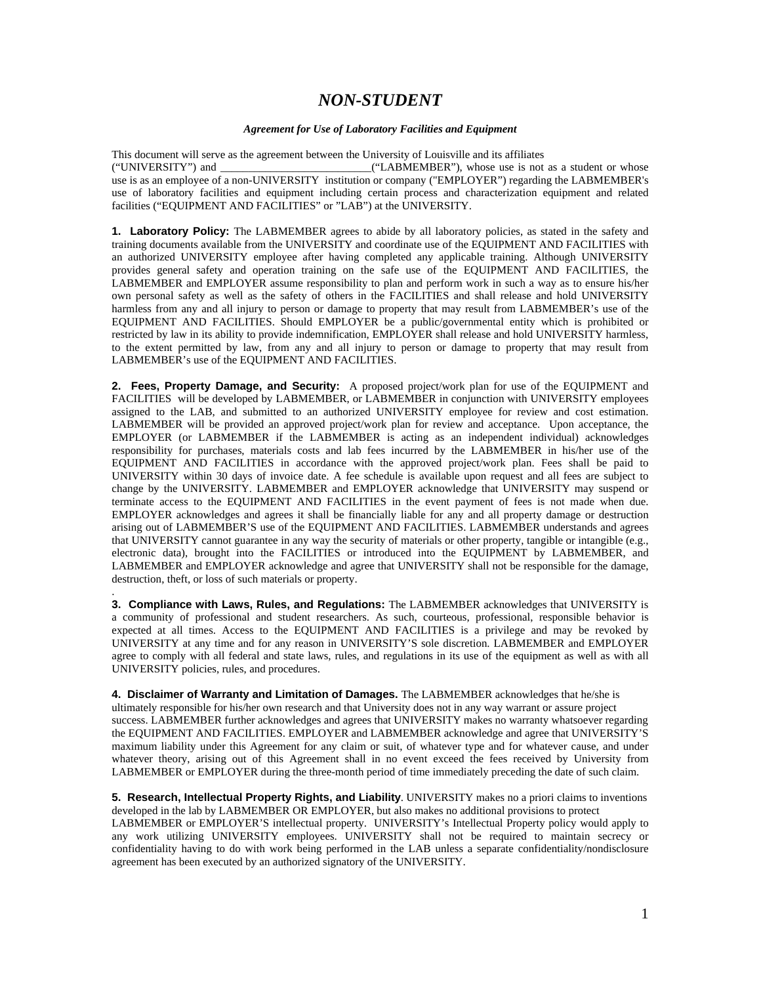## *NON-STUDENT*

## *Agreement for Use of Laboratory Facilities and Equipment*

This document will serve as the agreement between the University of Louisville and its affiliates ("UNIVERSITY") and \_\_\_\_\_\_\_\_\_\_\_\_\_\_\_\_\_\_\_\_\_\_\_\_\_\_\_("LABMEMBER"), whose use is not as a student or whose use is as an employee of a non-UNIVERSITY institution or company ("EMPLOYER") regarding the LABMEMBER's use of laboratory facilities and equipment including certain process and characterization equipment and related facilities ("EQUIPMENT AND FACILITIES" or "LAB") at the UNIVERSITY.

**1. Laboratory Policy:** The LABMEMBER agrees to abide by all laboratory policies, as stated in the safety and training documents available from the UNIVERSITY and coordinate use of the EQUIPMENT AND FACILITIES with an authorized UNIVERSITY employee after having completed any applicable training. Although UNIVERSITY provides general safety and operation training on the safe use of the EQUIPMENT AND FACILITIES, the LABMEMBER and EMPLOYER assume responsibility to plan and perform work in such a way as to ensure his/her own personal safety as well as the safety of others in the FACILITIES and shall release and hold UNIVERSITY harmless from any and all injury to person or damage to property that may result from LABMEMBER's use of the EQUIPMENT AND FACILITIES. Should EMPLOYER be a public/governmental entity which is prohibited or restricted by law in its ability to provide indemnification, EMPLOYER shall release and hold UNIVERSITY harmless, to the extent permitted by law, from any and all injury to person or damage to property that may result from LABMEMBER's use of the EQUIPMENT AND FACILITIES.

**2. Fees, Property Damage, and Security:** A proposed project/work plan for use of the EQUIPMENT and FACILITIES will be developed by LABMEMBER, or LABMEMBER in conjunction with UNIVERSITY employees assigned to the LAB, and submitted to an authorized UNIVERSITY employee for review and cost estimation. LABMEMBER will be provided an approved project/work plan for review and acceptance. Upon acceptance, the EMPLOYER (or LABMEMBER if the LABMEMBER is acting as an independent individual) acknowledges responsibility for purchases, materials costs and lab fees incurred by the LABMEMBER in his/her use of the EQUIPMENT AND FACILITIES in accordance with the approved project/work plan. Fees shall be paid to UNIVERSITY within 30 days of invoice date. A fee schedule is available upon request and all fees are subject to change by the UNIVERSITY. LABMEMBER and EMPLOYER acknowledge that UNIVERSITY may suspend or terminate access to the EQUIPMENT AND FACILITIES in the event payment of fees is not made when due. EMPLOYER acknowledges and agrees it shall be financially liable for any and all property damage or destruction arising out of LABMEMBER'S use of the EQUIPMENT AND FACILITIES. LABMEMBER understands and agrees that UNIVERSITY cannot guarantee in any way the security of materials or other property, tangible or intangible (e.g., electronic data), brought into the FACILITIES or introduced into the EQUIPMENT by LABMEMBER, and LABMEMBER and EMPLOYER acknowledge and agree that UNIVERSITY shall not be responsible for the damage, destruction, theft, or loss of such materials or property.

**3. Compliance with Laws, Rules, and Regulations:** The LABMEMBER acknowledges that UNIVERSITY is a community of professional and student researchers. As such, courteous, professional, responsible behavior is expected at all times. Access to the EQUIPMENT AND FACILITIES is a privilege and may be revoked by UNIVERSITY at any time and for any reason in UNIVERSITY'S sole discretion. LABMEMBER and EMPLOYER agree to comply with all federal and state laws, rules, and regulations in its use of the equipment as well as with all UNIVERSITY policies, rules, and procedures.

.

**4. Disclaimer of Warranty and Limitation of Damages.** The LABMEMBER acknowledges that he/she is ultimately responsible for his/her own research and that University does not in any way warrant or assure project success. LABMEMBER further acknowledges and agrees that UNIVERSITY makes no warranty whatsoever regarding the EQUIPMENT AND FACILITIES. EMPLOYER and LABMEMBER acknowledge and agree that UNIVERSITY'S maximum liability under this Agreement for any claim or suit, of whatever type and for whatever cause, and under whatever theory, arising out of this Agreement shall in no event exceed the fees received by University from LABMEMBER or EMPLOYER during the three-month period of time immediately preceding the date of such claim.

**5. Research, Intellectual Property Rights, and Liability**. UNIVERSITY makes no a priori claims to inventions developed in the lab by LABMEMBER OR EMPLOYER, but also makes no additional provisions to protect

LABMEMBER or EMPLOYER'S intellectual property. UNIVERSITY's Intellectual Property policy would apply to any work utilizing UNIVERSITY employees. UNIVERSITY shall not be required to maintain secrecy or confidentiality having to do with work being performed in the LAB unless a separate confidentiality/nondisclosure agreement has been executed by an authorized signatory of the UNIVERSITY.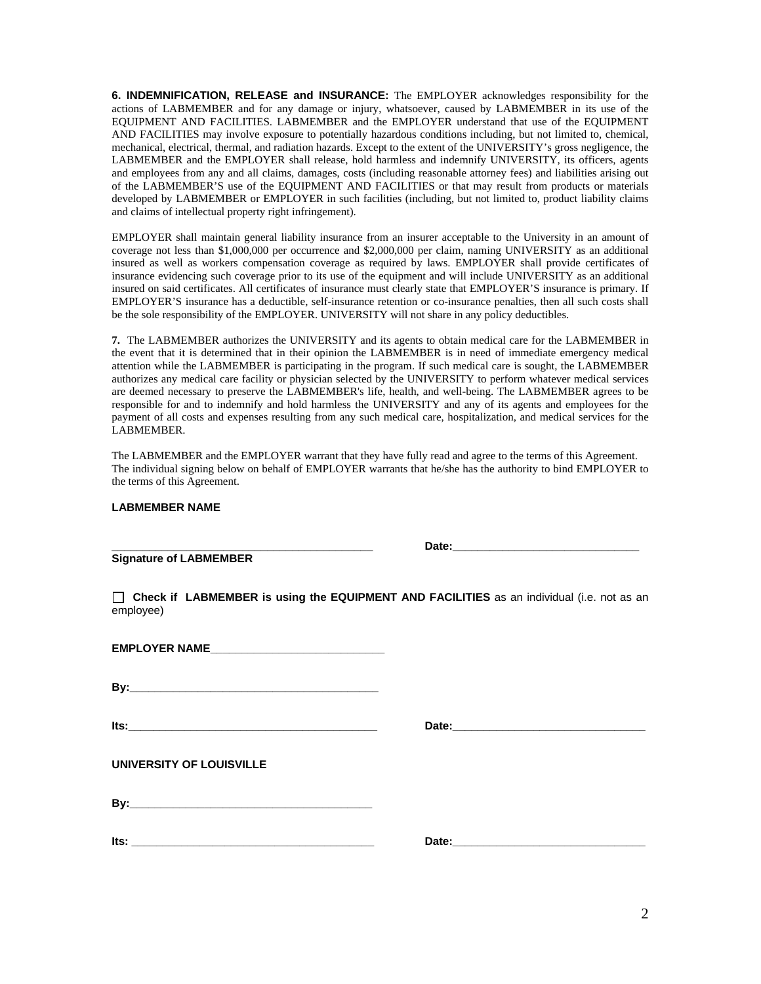**6. INDEMNIFICATION, RELEASE and INSURANCE:** The EMPLOYER acknowledges responsibility for the actions of LABMEMBER and for any damage or injury, whatsoever, caused by LABMEMBER in its use of the EQUIPMENT AND FACILITIES. LABMEMBER and the EMPLOYER understand that use of the EQUIPMENT AND FACILITIES may involve exposure to potentially hazardous conditions including, but not limited to, chemical, mechanical, electrical, thermal, and radiation hazards. Except to the extent of the UNIVERSITY's gross negligence, the LABMEMBER and the EMPLOYER shall release, hold harmless and indemnify UNIVERSITY, its officers, agents and employees from any and all claims, damages, costs (including reasonable attorney fees) and liabilities arising out of the LABMEMBER'S use of the EQUIPMENT AND FACILITIES or that may result from products or materials developed by LABMEMBER or EMPLOYER in such facilities (including, but not limited to, product liability claims and claims of intellectual property right infringement).

EMPLOYER shall maintain general liability insurance from an insurer acceptable to the University in an amount of coverage not less than \$1,000,000 per occurrence and \$2,000,000 per claim, naming UNIVERSITY as an additional insured as well as workers compensation coverage as required by laws. EMPLOYER shall provide certificates of insurance evidencing such coverage prior to its use of the equipment and will include UNIVERSITY as an additional insured on said certificates. All certificates of insurance must clearly state that EMPLOYER'S insurance is primary. If EMPLOYER'S insurance has a deductible, self-insurance retention or co-insurance penalties, then all such costs shall be the sole responsibility of the EMPLOYER. UNIVERSITY will not share in any policy deductibles.

**7.** The LABMEMBER authorizes the UNIVERSITY and its agents to obtain medical care for the LABMEMBER in the event that it is determined that in their opinion the LABMEMBER is in need of immediate emergency medical attention while the LABMEMBER is participating in the program. If such medical care is sought, the LABMEMBER authorizes any medical care facility or physician selected by the UNIVERSITY to perform whatever medical services are deemed necessary to preserve the LABMEMBER's life, health, and well-being. The LABMEMBER agrees to be responsible for and to indemnify and hold harmless the UNIVERSITY and any of its agents and employees for the payment of all costs and expenses resulting from any such medical care, hospitalization, and medical services for the LABMEMBER.

The LABMEMBER and the EMPLOYER warrant that they have fully read and agree to the terms of this Agreement. The individual signing below on behalf of EMPLOYER warrants that he/she has the authority to bind EMPLOYER to the terms of this Agreement.

## **LABMEMBER NAME**

**Signature of LABMEMBER** 

**Date:** 

 **Check if LABMEMBER is using the EQUIPMENT AND FACILITIES** as an individual (i.e. not as an employee)

| <b>EMPLOYER NAME</b> |  |
|----------------------|--|
|                      |  |

**By:**  $\blacksquare$ 

**Its:\_\_\_\_\_\_\_\_\_\_\_\_\_\_\_\_\_\_\_\_\_\_\_\_\_\_\_\_\_\_\_\_\_\_\_\_\_\_\_\_ Date:\_\_\_\_\_\_\_\_\_\_\_\_\_\_\_\_\_\_\_\_\_\_\_\_\_\_\_\_\_\_\_** 

**UNIVERSITY OF LOUISVILLE** 

**Its: \_\_\_\_\_\_\_\_\_\_\_\_\_\_\_\_\_\_\_\_\_\_\_\_\_\_\_\_\_\_\_\_\_\_\_\_\_\_\_ Date:\_\_\_\_\_\_\_\_\_\_\_\_\_\_\_\_\_\_\_\_\_\_\_\_\_\_\_\_\_\_\_**